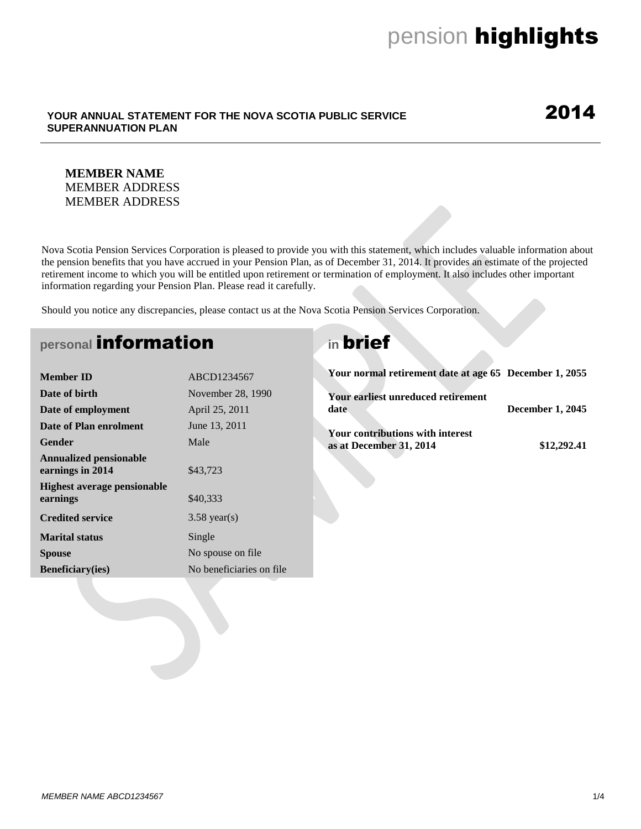#### **YOUR ANNUAL STATEMENT FOR THE NOVA SCOTIA PUBLIC SERVICE SUPERANNUATION PLAN**

### 2014

#### **MEMBER NAME** MEMBER ADDRESS MEMBER ADDRESS

Nova Scotia Pension Services Corporation is pleased to provide you with this statement, which includes valuable information about the pension benefits that you have accrued in your Pension Plan, as of December 31, 2014. It provides an estimate of the projected retirement income to which you will be entitled upon retirement or termination of employment. It also includes other important information regarding your Pension Plan. Please read it carefully.

Should you notice any discrepancies, please contact us at the Nova Scotia Pension Services Corporation.

## **personal information in** brief

| <b>Member ID</b>                                  | ABCD1234567               |   |
|---------------------------------------------------|---------------------------|---|
| Date of birth                                     | November 28, 1990         |   |
| Date of employment                                | April 25, 2011            | d |
| Date of Plan enrolment                            | June 13, 2011             |   |
| Gender                                            | Male                      | a |
| <b>Annualized pensionable</b><br>earnings in 2014 | \$43,723                  |   |
| <b>Highest average pensionable</b><br>earnings    | \$40,333                  |   |
| <b>Credited service</b>                           | $3.58$ year(s)            |   |
| <b>Marital status</b>                             | Single                    |   |
| <b>Spouse</b>                                     | No spouse on file.        |   |
| <b>Beneficiary</b> (ies)                          | No beneficiaries on file. |   |
|                                                   |                           |   |

| Your normal retirement date at age 65 December 1, 2055      |                         |
|-------------------------------------------------------------|-------------------------|
| Your earliest unreduced retirement                          |                         |
| date                                                        | <b>December 1, 2045</b> |
|                                                             |                         |
| Your contributions with interest<br>as at December 31, 2014 | \$12,292.41             |
|                                                             |                         |
|                                                             |                         |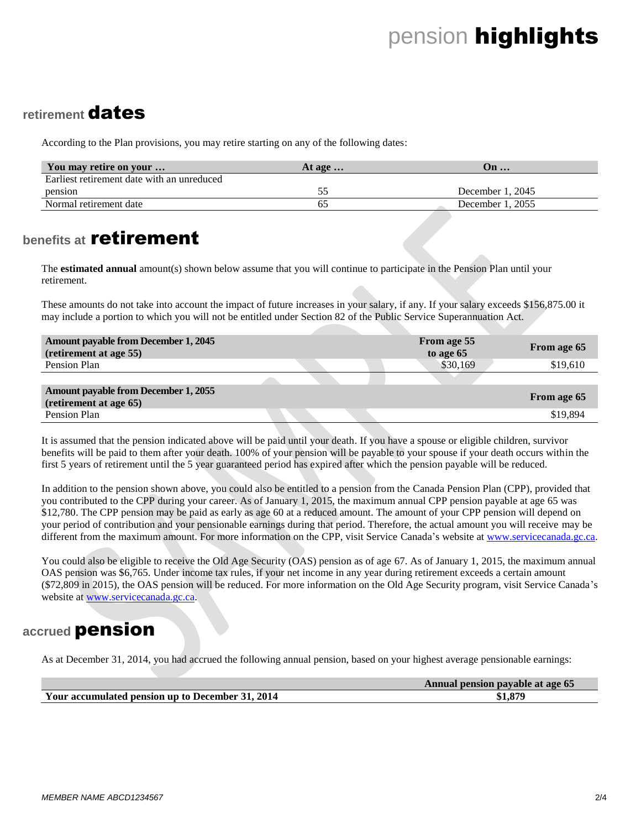#### **retirement** dates

According to the Plan provisions, you may retire starting on any of the following dates:

| You may retire on your                     | At age $\ldots$ | Un                 |
|--------------------------------------------|-----------------|--------------------|
| Earliest retirement date with an unreduced |                 |                    |
| pension                                    |                 | December $1, 2045$ |
| Normal retirement date                     | ნა              | December 1, 2055   |

### **benefits at** retirement

The **estimated annual** amount(s) shown below assume that you will continue to participate in the Pension Plan until your retirement.

These amounts do not take into account the impact of future increases in your salary, if any. If your salary exceeds \$156,875.00 it may include a portion to which you will not be entitled under Section 82 of the Public Service Superannuation Act.

| <b>Amount payable from December 1, 2045</b><br>(retirement at age 55) | From age 55<br>to age 65 | From age 65 |
|-----------------------------------------------------------------------|--------------------------|-------------|
| Pension Plan                                                          | \$30,169                 | \$19,610    |
|                                                                       |                          |             |
| <b>Amount payable from December 1, 2055</b><br>(retirement at age 65) |                          | From age 65 |
| Pension Plan                                                          |                          | \$19,894    |

It is assumed that the pension indicated above will be paid until your death. If you have a spouse or eligible children, survivor benefits will be paid to them after your death. 100% of your pension will be payable to your spouse if your death occurs within the first 5 years of retirement until the 5 year guaranteed period has expired after which the pension payable will be reduced.

In addition to the pension shown above, you could also be entitled to a pension from the Canada Pension Plan (CPP), provided that you contributed to the CPP during your career. As of January 1, 2015, the maximum annual CPP pension payable at age 65 was \$12,780. The CPP pension may be paid as early as age 60 at a reduced amount. The amount of your CPP pension will depend on your period of contribution and your pensionable earnings during that period. Therefore, the actual amount you will receive may be different from the maximum amount. For more information on the CPP, visit Service Canada's website at [www.servicecanada.gc.ca.](http://www.servicecanada.gc.ca/)

You could also be eligible to receive the Old Age Security (OAS) pension as of age 67. As of January 1, 2015, the maximum annual OAS pension was \$6,765. Under income tax rules, if your net income in any year during retirement exceeds a certain amount (\$72,809 in 2015), the OAS pension will be reduced. For more information on the Old Age Security program, visit Service Canada's website at [www.servicecanada.gc.ca.](http://www.servicecanada.gc.ca/)

#### **accrued** pension

As at December 31, 2014, you had accrued the following annual pension, based on your highest average pensionable earnings:

|                                                  | Annual pension payable at age 65 |
|--------------------------------------------------|----------------------------------|
| Your accumulated pension up to December 31, 2014 | $\mathbf{1.87}^{\circ}$          |